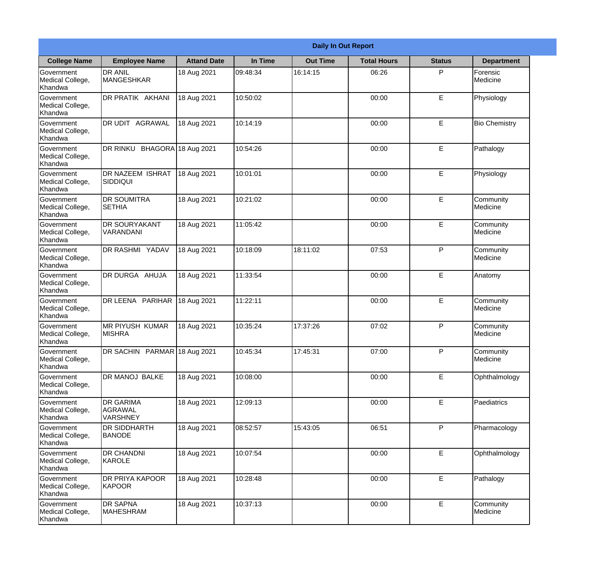|                                                  |                                                       |                    | <b>Daily In Out Report</b> |                 |                    |               |                       |  |
|--------------------------------------------------|-------------------------------------------------------|--------------------|----------------------------|-----------------|--------------------|---------------|-----------------------|--|
| <b>College Name</b>                              | <b>Employee Name</b>                                  | <b>Attand Date</b> | In Time                    | <b>Out Time</b> | <b>Total Hours</b> | <b>Status</b> | <b>Department</b>     |  |
| Government<br>Medical College,<br>Khandwa        | <b>DR ANIL</b><br><b>MANGESHKAR</b>                   | 18 Aug 2021        | 09:48:34                   | 16:14:15        | 06:26              | P             | Forensic<br>Medicine  |  |
| Government<br>Medical College,<br>Khandwa        | DR PRATIK AKHANI                                      | 18 Aug 2021        | 10:50:02                   |                 | 00:00              | E             | Physiology            |  |
| <b>Government</b><br>Medical College,<br>Khandwa | <b>DR UDIT AGRAWAL</b>                                | 18 Aug 2021        | 10:14:19                   |                 | 00:00              | E             | <b>Bio Chemistry</b>  |  |
| Government<br>Medical College,<br>Khandwa        | DR RINKU BHAGORA 18 Aug 2021                          |                    | 10:54:26                   |                 | 00:00              | $\mathsf E$   | Pathalogy             |  |
| <b>Government</b><br>Medical College,<br>Khandwa | <b>DR NAZEEM ISHRAT</b><br>SIDDIQUI                   | 18 Aug 2021        | 10:01:01                   |                 | 00:00              | E             | Physiology            |  |
| Government<br>Medical College,<br>Khandwa        | <b>DR SOUMITRA</b><br><b>SETHIA</b>                   | 18 Aug 2021        | 10:21:02                   |                 | 00:00              | $\mathsf E$   | Community<br>Medicine |  |
| <b>Government</b><br>Medical College,<br>Khandwa | <b>DR SOURYAKANT</b><br>VARANDANI                     | 18 Aug 2021        | 11:05:42                   |                 | 00:00              | E             | Community<br>Medicine |  |
| Government<br>Medical College,<br>Khandwa        | DR RASHMI YADAV                                       | 18 Aug 2021        | 10:18:09                   | 18:11:02        | 07:53              | P             | Community<br>Medicine |  |
| Government<br>Medical College,<br>Khandwa        | <b>DR DURGA AHUJA</b>                                 | 18 Aug 2021        | 11:33:54                   |                 | 00:00              | E             | Anatomy               |  |
| Government<br>Medical College,<br>Khandwa        | DR LEENA PARIHAR                                      | 18 Aug 2021        | 11:22:11                   |                 | 00:00              | E             | Community<br>Medicine |  |
| Government<br>Medical College,<br>Khandwa        | <b>MR PIYUSH KUMAR</b><br><b>MISHRA</b>               | 18 Aug 2021        | 10:35:24                   | 17:37:26        | 07:02              | P             | Community<br>Medicine |  |
| Government<br>Medical College,<br>Khandwa        | DR SACHIN PARMAR 18 Aug 2021                          |                    | 10:45:34                   | 17:45:31        | 07:00              | P             | Community<br>Medicine |  |
| Government<br>Medical College,<br>Khandwa        | DR MANOJ BALKE                                        | 18 Aug 2021        | 10:08:00                   |                 | 00:00              | E             | Ophthalmology         |  |
| Government<br>Medical College,<br>Khandwa        | <b>DR GARIMA</b><br><b>AGRAWAL</b><br><b>VARSHNEY</b> | 18 Aug 2021        | 12:09:13                   |                 | 00:00              | $\mathsf E$   | Paediatrics           |  |
| <b>Government</b><br>Medical College,<br>Khandwa | <b>DR SIDDHARTH</b><br><b>BANODE</b>                  | 18 Aug 2021        | 08:52:57                   | 15:43:05        | 06:51              | $\mathsf{P}$  | Pharmacology          |  |
| Government<br>Medical College,<br>Khandwa        | <b>DR CHANDNI</b><br>KAROLE                           | 18 Aug 2021        | 10:07:54                   |                 | 00:00              | $\mathsf E$   | Ophthalmology         |  |
| Government<br>Medical College,<br>Khandwa        | <b>DR PRIYA KAPOOR</b><br><b>KAPOOR</b>               | 18 Aug 2021        | 10:28:48                   |                 | 00:00              | $\mathsf E$   | Pathalogy             |  |
| Government<br>Medical College,<br>Khandwa        | <b>DR SAPNA</b><br><b>MAHESHRAM</b>                   | 18 Aug 2021        | 10:37:13                   |                 | 00:00              | $\mathsf E$   | Community<br>Medicine |  |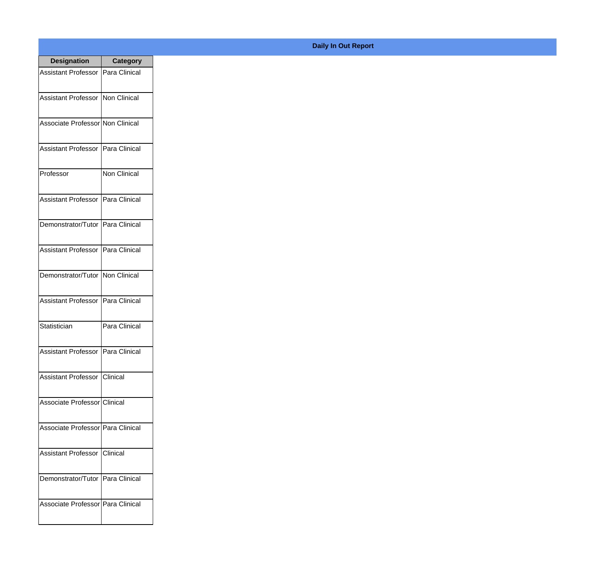| <b>Designation</b>                  | <b>Category</b> |
|-------------------------------------|-----------------|
| Assistant Professor   Para Clinical |                 |
| Assistant Professor   Non Clinical  |                 |
| Associate Professor Non Clinical    |                 |
| <b>Assistant Professor</b>          | Para Clinical   |
| Professor                           | Non Clinical    |
| Assistant Professor   Para Clinical |                 |
| Demonstrator/Tutor   Para Clinical  |                 |
| Assistant Professor   Para Clinical |                 |
| Demonstrator/Tutor   Non Clinical   |                 |
| <b>Assistant Professor</b>          | Para Clinical   |
| Statistician                        | Para Clinical   |
| Assistant Professor   Para Clinical |                 |
| Assistant Professor   Clinical      |                 |
| Associate Professor Clinical        |                 |
| Associate Professor   Para Clinical |                 |
| <b>Assistant Professor</b>          | <b>Clinical</b> |
| Demonstrator/Tutor   Para Clinical  |                 |
| Associate Professor Para Clinical   |                 |

## **Daily In Out Report**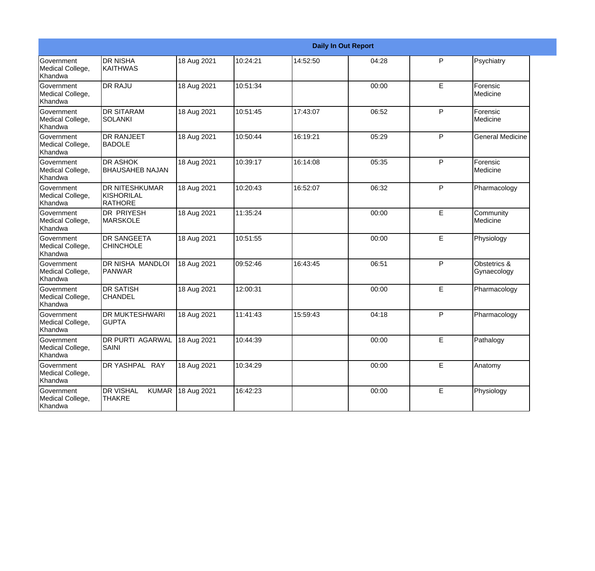|                                           | <b>Daily In Out Report</b>                        |             |          |          |       |   |                             |  |
|-------------------------------------------|---------------------------------------------------|-------------|----------|----------|-------|---|-----------------------------|--|
| Government<br>Medical College,<br>Khandwa | <b>DR NISHA</b><br><b>KAITHWAS</b>                | 18 Aug 2021 | 10:24:21 | 14:52:50 | 04:28 | P | Psychiatry                  |  |
| Government<br>Medical College,<br>Khandwa | <b>DR RAJU</b>                                    | 18 Aug 2021 | 10:51:34 |          | 00:00 | E | Forensic<br>Medicine        |  |
| Government<br>Medical College,<br>Khandwa | <b>DR SITARAM</b><br><b>SOLANKI</b>               | 18 Aug 2021 | 10:51:45 | 17:43:07 | 06:52 | P | Forensic<br>Medicine        |  |
| Government<br>Medical College,<br>Khandwa | <b>DR RANJEET</b><br><b>BADOLE</b>                | 18 Aug 2021 | 10:50:44 | 16:19:21 | 05:29 | P | <b>General Medicine</b>     |  |
| Government<br>Medical College,<br>Khandwa | <b>DR ASHOK</b><br><b>BHAUSAHEB NAJAN</b>         | 18 Aug 2021 | 10:39:17 | 16:14:08 | 05:35 | P | Forensic<br>Medicine        |  |
| Government<br>Medical College,<br>Khandwa | <b>DR NITESHKUMAR</b><br>KISHORILAL<br>RATHORE    | 18 Aug 2021 | 10:20:43 | 16:52:07 | 06:32 | P | Pharmacology                |  |
| Government<br>Medical College,<br>Khandwa | <b>DR PRIYESH</b><br><b>MARSKOLE</b>              | 18 Aug 2021 | 11:35:24 |          | 00:00 | E | Community<br>Medicine       |  |
| Government<br>Medical College,<br>Khandwa | DR SANGEETA<br><b>CHINCHOLE</b>                   | 18 Aug 2021 | 10:51:55 |          | 00:00 | E | Physiology                  |  |
| Government<br>Medical College,<br>Khandwa | DR NISHA MANDLOI<br><b>PANWAR</b>                 | 18 Aug 2021 | 09:52:46 | 16:43:45 | 06:51 | P | Obstetrics &<br>Gynaecology |  |
| Government<br>Medical College,<br>Khandwa | <b>DR SATISH</b><br><b>CHANDEL</b>                | 18 Aug 2021 | 12:00:31 |          | 00:00 | E | Pharmacology                |  |
| Government<br>Medical College,<br>Khandwa | <b>DR MUKTESHWARI</b><br><b>GUPTA</b>             | 18 Aug 2021 | 11:41:43 | 15:59:43 | 04:18 | P | Pharmacology                |  |
| Government<br>Medical College,<br>Khandwa | DR PURTI AGARWAL<br>SAINI                         | 18 Aug 2021 | 10:44:39 |          | 00:00 | E | Pathalogy                   |  |
| Government<br>Medical College,<br>Khandwa | DR YASHPAL RAY                                    | 18 Aug 2021 | 10:34:29 |          | 00:00 | E | Anatomy                     |  |
| Government<br>Medical College,<br>Khandwa | <b>KUMAR</b><br><b>DR VISHAL</b><br><b>THAKRE</b> | 18 Aug 2021 | 16:42:23 |          | 00:00 | E | Physiology                  |  |